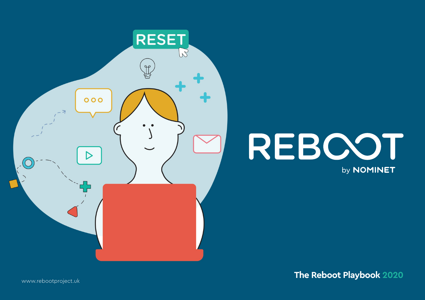

# REBOOT by **NOMINET**

**The Reboot Playbook 2020**

www.rebootproject.uk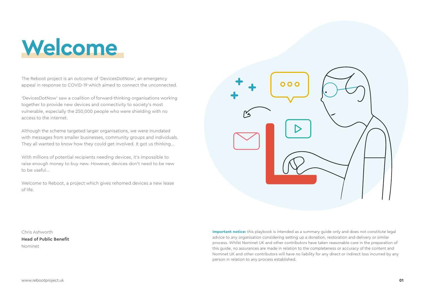# **Welcome**

The Reboot project is an outcome of 'DevicesDotNow', an emergency appeal in response to COVID-19 which aimed to connect the unconnected.

'DevicesDotNow' saw a coalition of forward-thinking organisations working together to provide new devices and connectivity to society's most vulnerable, especially the 250,000 people who were shielding with no access to the internet.

Although the scheme targeted larger organisations, we were inundated with messages from smaller businesses, community groups and individuals. They all wanted to know how they could get involved. It got us thinking...

With millions of potential recipients needing devices, it's impossible to raise enough money to buy new. However, devices don't need to be new to be useful...

Welcome to Reboot, a project which gives rehomed devices a new lease of life.



Chris Ashworth **Head of Public Benefit** Nominet

**Important notice:** this playbook is intended as a summary quide only and does not constitute legal advice to any organisation considering setting up a donation, restoration and delivery or similar process. Whilst Nominet UK and other contributors have taken reasonable care in the preparation of this guide, no assurances are made in relation to the completeness or accuracy of the content and Nominet UK and other contributors will have no liability for any direct or indirect loss incurred by any person in relation to any process established.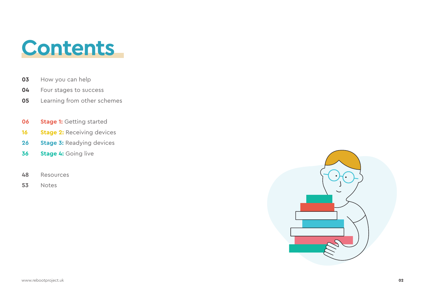

- How you can help **03**
- Four stages to success **04**
- Learning from other schemes **05**
- **Stage 1:** Getting started **06**
- **Stage 2:** Receiving devices **16**
- **Stage 3:** Readying devices **26**
- **Stage 4:** Going live **36**
- Resources **48**
- Notes **53**

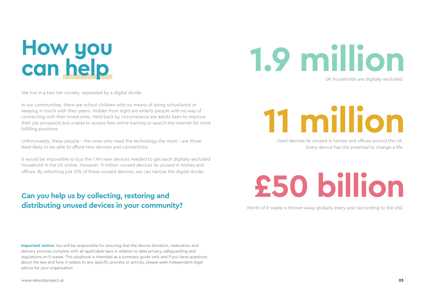# **How you can help**

We live in a two tier society, separated by a digital divide.

In our communities, there are school children with no means of doing schoolwork or keeping in touch with their peers. Hidden from sight are elderly people with no way of connecting with their loved ones. Held back by circumstance are adults keen to improve their job prospects but unable to access free online training or search the internet for more fulfilling positions.

Unfortunately, these people – the ones who need the technology the most - are those least likely to be able to afford new devices and connections.

It would be impossible to buy the 1.9m new devices needed to get each digitally excluded household in the UK online. However, 11 million unused devices lie unused in homes and offices. By rehoming just 10% of these unused devices, we can narrow the digital divide.

# **Can you help us by collecting, restoring and distributing unused devices in your community?**

**Important notice:** You will be responsible for ensuring that the device donation, restoration and delivery process complies with all applicable laws in relation to data privacy, safeguarding and regulations on E-waste. This playbook is intended as a summary guide only and if you have questions about the law and how it relates to any specific process or activity, please seek independent legal advice for your organisation.

# **1.9 million**

UK households are digitally excluded.

# **11 million**

Used devices lie unused in homes and offices around the UK. Every device has the potential to change a life.

# **£50 billion**

Worth of E-waste is thrown away globally every year (according to the UN).

www.rebootproject.uk **03**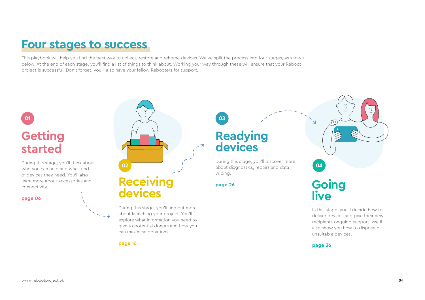# **Four stages to success**

This playbook will help you find the best way to collect, restore and rehome devices. We've split the process into four stages, as shown below. At the end of each stage, you'll find a list of things to think about. Working your way through these will ensure that your Reboot project is successful. Don't forget, you'll also have your fellow Rebooters for support.

# **Getting started**

During this stage, you'll think about who you can help and what kind of devices they need. You'll also learn more about accessories and connectivity.

#### **page 06**



During this stage, you'll find out more about launching your project. You'll explore what information you need to give to potential donors and how you can maximise donations.

**page 16**

**Readying devices**

During this stage, you'll discover more wiping.

**page 26**

# **Going live**

In this stage, you'll decide how to deliver devices and give their new recipients ongoing support. We'll also show you how to dispose of unsuitable devices.

**page 36**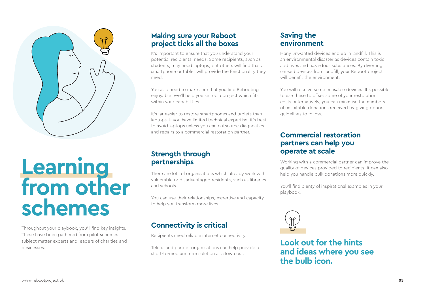

# **Learning from other schemes**

Throughout your playbook, you'll find key insights. These have been gathered from pilot schemes, subject matter experts and leaders of charities and businesses.

## **Making sure your Reboot project ticks all the boxes**

It's important to ensure that you understand your potential recipients' needs. Some recipients, such as students, may need laptops, but others will find that a smartphone or tablet will provide the functionality they need.

You also need to make sure that you find Rebooting enjoyable! We'll help you set up a project which fits within your capabilities.

It's far easier to restore smartphones and tablets than laptops. If you have limited technical expertise, it's best to avoid laptops unless you can outsource diagnostics and repairs to a commercial restoration partner.

### **Strength through partnerships**

There are lots of organisations which already work with vulnerable or disadvantaged residents, such as libraries and schools.

You can use their relationships, expertise and capacity to help you transform more lives.

# **Connectivity is critical**

Recipients need reliable internet connectivity.

Telcos and partner organisations can help provide a short-to-medium term solution at a low cost.

### **Saving the environment**

Many unwanted devices end up in landfill. This is an environmental disaster as devices contain toxic additives and hazardous substances. By diverting unused devices from landfill, your Reboot project will benefit the environment

You will receive some unusable devices. It's possible to use these to offset some of your restoration costs. Alternatively, you can minimise the numbers of unsuitable donations received by giving donors guidelines to follow.

## **Commercial restoration partners can help you operate at scale**

Working with a commercial partner can improve the quality of devices provided to recipients. It can also help you handle bulk donations more quickly.

You'll find plenty of inspirational examples in your playbook!



**Look out for the hints and ideas where you see the bulb icon.**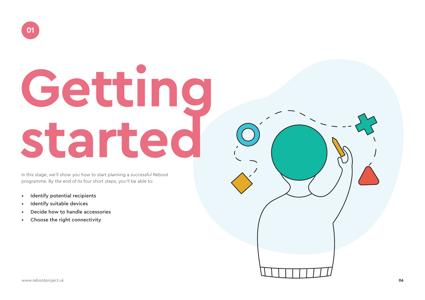# **Getting started**

In this stage, we'll show you how to start planning a successful Reboot programme. By the end of its four short steps, you'll be able to:

- Identify potential recipients
- Identify suitable devices
- Decide how to handle accessories
- Choose the right connectivity

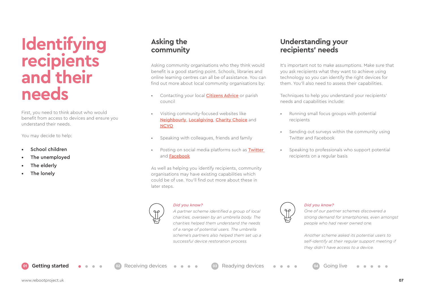# **Identifying recipients and their needs**

First, you need to think about who would benefit from access to devices and ensure you understand their needs.

You may decide to help:

- School children
- The unemploved
- The elderly
- The lonely

# **Asking the community**

Asking community organisations who they think would benefit is a good starting point. Schools, libraries and online learning centres can all be of assistance. You can find out more about local community organisations by:

- Contacting your local **[Citizens Advice](https://www.citizensadvice.org.uk/)** or parish council
- Visiting community-focused websites like [Neighbourly](https://www.neighbourly.com/), [Localgiving](https://localgiving.org/), [Charity Choice](https://www.charitychoice.co.uk/) and **[NCVO](https://www.ncvo.org.uk/)**
- Speaking with colleagues, friends and family
- Posting on social media platforms such as **Twitter** and [Facebook](http://www.facebook.com)

As well as helping you identify recipients, community organisations may have existing capabilities which could be of use. You'll find out more about these in later steps.

*Did you know? A partner scheme identified a group of local* 

*charities, overseen by an umbrella body. The charities helped them understand the needs of a range of potential users. The umbrella scheme's partners also helped them set up a successful device restoration process.* 

# **Understanding your recipients' needs**

It's important not to make assumptions. Make sure that you ask recipients what they want to achieve using technology so you can identify the right devices for them. You'll also need to assess their capabilities.

Techniques to help you understand your recipients' needs and capabilities include:

- Running small focus groups with potential recipients
- Sending out surveys within the community using Twitter and Facebook
- Speaking to professionals who support potential recipients on a regular basis



#### *Did you know?*

*One of our partner schemes discovered a strong demand for smartphones, even amongst people who had never owned one.* 

*Another scheme asked its potential users to self-identify at their regular support meeting if they didn't have access to a device.* 

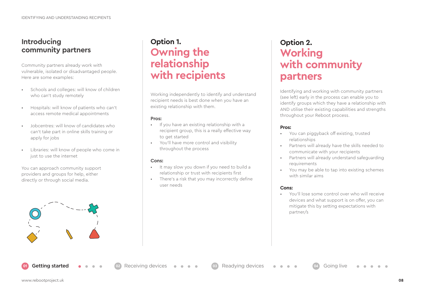### **Introducing community partners**

Community partners already work with vulnerable, isolated or disadvantaged people. Here are some examples:

- Schools and colleges: will know of children who can't study remotely
- Hospitals: will know of patients who can't access remote medical appointments
- Jobcentres: will know of candidates who can't take part in online skills training or apply for jobs
- Libraries: will know of people who come in just to use the internet

You can approach community support providers and groups for help, either directly or through social media.



# **Option 1. Owning the relationship with recipients**

Working independently to identify and understand recipient needs is best done when you have an existing relationship with them.

#### **Pros:**

- If you have an existing relationship with a recipient group, this is a really effective way to get started
- You'll have more control and visibility throughout the process

#### **Cons:**

- It may slow you down if you need to build a relationship or trust with recipients first
- There's a risk that you may incorrectly define user needs

# **Option 2. Working with community partners**

Identifying and working with community partners (see left) early in the process can enable you to identify groups which they have a relationship with AND utilise their existing capabilities and strengths throughout your Reboot process.

#### **Pros:**

- You can piggyback off existing, trusted relationships
- Partners will already have the skills needed to communicate with your recipients
- Partners will already understand safeguarding requirements
- You may be able to tap into existing schemes with similar aims

#### **Cons:**

• You'll lose some control over who will receive devices and what support is on offer, you can mitigate this by setting expectations with partner/s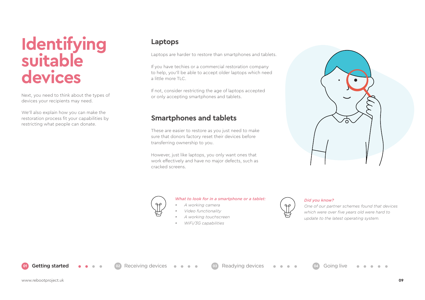# **Identifying suitable devices**

Next, you need to think about the types of devices your recipients may need.

We'll also explain how you can make the restoration process fit your capabilities by restricting what people can donate.

### **Laptops**

Laptops are harder to restore than smartphones and tablets.

If you have techies or a commercial restoration company to help, you'll be able to accept older laptops which need a little more TLC.

If not, consider restricting the age of laptops accepted or only accepting smartphones and tablets.

# **Smartphones and tablets**

These are easier to restore as you just need to make sure that donors factory reset their devices before transferring ownership to you.

However, just like laptops, you only want ones that work effectively and have no major defects, such as cracked screens.



#### *What to look for in a smartphone or a tablet:*

- *• A working camera*
- *• Video functionality*
- *• A working touchscreen*
- *• WiFi/3G capabilities*

**02 02 02 1 02 02 02 02 02 02 02 03 03 03 03 03 02 02 04 04 0 04 0 04 0 04 0 04 0 04 0 04 0 04 0 04 0 04 0 04 0 04 0 04 0 04 0 0** 





#### *Did you know?*

*One of our partner schemes found that devices which were over five years old were hard to update to the latest operating system.*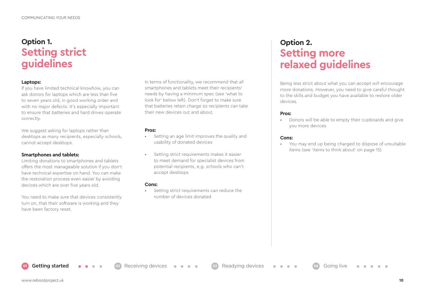# **Option 1. Setting strict guidelines**

#### **Laptops:**

If you have limited technical knowhow, you can ask donors for laptops which are less than five to seven years old, in good working order and with no major defects. It's especially important to ensure that batteries and hard drives operate correctly.

We suggest asking for laptops rather than desktops as many recipients, especially schools, cannot accept desktops.

#### **Smartphones and tablets:**

Limiting donations to smartphones and tablets offers the most manageable solution if you don't have technical expertise on hand. You can make the restoration process even easier by avoiding devices which are over five years old.

You need to make sure that devices consistently turn on, that their software is working and they have been factory reset.

In terms of functionality, we recommend that all smartphones and tablets meet their recipients' needs by having a minimum spec (see 'what to look for' below left). Don't forget to make sure that batteries retain charge so recipients can take their new devices out and about.

#### **Pros:**

- Setting an age limit improves the quality and usability of donated devices
- Setting strict requirements makes it easier to meet demand for specialist devices from potential recipients, e.g. schools who can't accept desktops

#### **Cons:**

• Setting strict requirements can reduce the number of devices donated

**01** Getting started **02** Receiving devices **03** Readying devices **04** Going live

# **Option 2. Setting more relaxed guidelines**

Being less strict about what you can accept will encourage more donations. However, you need to give careful thought to the skills and budget you have available to restore older devices.

#### **Pros:**

• Donors will be able to empty their cupboards and give you more devices

#### **Cons:**

• You may end up being charged to dispose of unsuitable items (see 'items to think about' on page 15)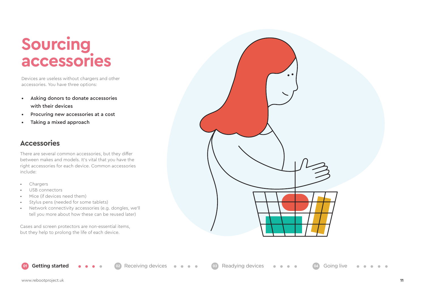# **Sourcing accessories**

Devices are useless without chargers and other accessories. You have three options:

- Asking donors to donate accessories with their devices
- Procuring new accessories at a cost
- Taking a mixed approach

### **Accessories**

There are several common accessories, but they differ between makes and models. It's vital that you have the right accessories for each device. Common accessories include:

- Chargers
- USB connectors
- Mice (if devices need them)
- Stylus pens (needed for some tablets)
- Network connectivity accessories (e.g. dongles, we'll tell you more about how these can be reused later)

Cases and screen protectors are non-essential items, but they help to prolong the life of each device.



**02 02 02 1 02 02 02 02 02 02 02 03 03 03 03 03 03 03 04 04 04 04 0 04 0 04 0 04 0 04 0 04 0 04 0 04 0 04 0 04 0 04 0 04 0 04 0**

**COLLA**  $\sim$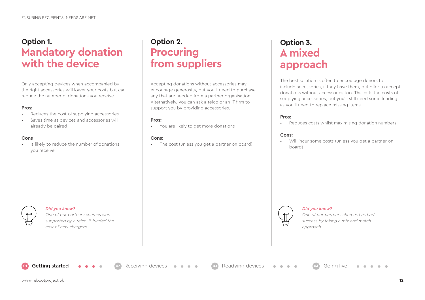# **Option 1. Mandatory donation with the device**

Only accepting devices when accompanied by the right accessories will lower your costs but can reduce the number of donations you receive.

#### **Pros:**

- Reduces the cost of supplying accessories
- Saves time as devices and accessories will already be paired

#### **Cons**

• Is likely to reduce the number of donations you receive

# **Option 2. Procuring from suppliers**

Accepting donations without accessories may encourage generosity, but you'll need to purchase any that are needed from a partner organisation. Alternatively, you can ask a telco or an IT firm to support you by providing accessories.

#### **Pros:**

• You are likely to get more donations

**01** Getting started **02** Receiving devices **03** Readying devices **04** Going live

#### **Cons:**

• The cost (unless you get a partner on board)

# **Option 3. A mixed approach**

The best solution is often to encourage donors to include accessories, if they have them, but offer to accept donations without accessories too. This cuts the costs of supplying accessories, but you'll still need some funding as you'll need to replace missing items.

#### **Pros:**

• Reduces costs whilst maximising donation numbers

#### **Cons:**

• Will incur some costs (unless you get a partner on board)



#### *Did you know?*

*One of our partner schemes has had success by taking a mix and match approach.*



#### *Did you know?*

*One of our partner schemes was supported by a telco. It funded the cost of new chargers.*

www.rebootproject.uk **12**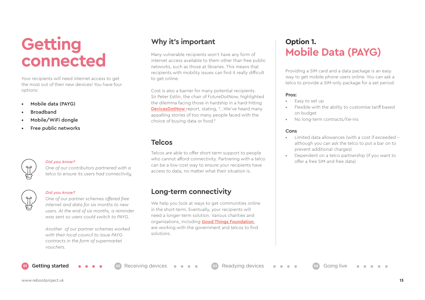# **Getting connected**

Your recipients will need internet access to get the most out of their new devices! You have four options:

- Mobile data (PAYG)
- Broadband
- Mobile/WiFi dongle
- Free public networks



#### *Did you know?*

*One of our contributors partnered with a telco to ensure its users had connectivity.* 



#### *Did you know?*

*One of our partner schemes offered free internet and data for six months to new users. At the end of six months, a reminder was sent so users could switch to PAYG.*

*Another of our partner schemes worked with their local council to issue PAYG contracts in the form of supermarket vouchers.*

## **Why it's important**

Many vulnerable recipients won't have any form of internet access available to them other than free public networks, such as those at libraries. This means that recipients with mobility issues can find it really difficult to get online.

Cost is also a barrier for many potential recipients. Sir Peter Estlin, the chair of FutureDotNow, highlighted the dilemma facing those in hardship in a hard-hitting **DevicesDotNow** report, stating, "...We've heard many appalling stories of too many people faced with the choice of buying data or food."

### **Telcos**

Telcos are able to offer short-term support to people who cannot afford connectivity. Partnering with a telco can be a low-cost way to ensure your recipients have access to data, no matter what their situation is.

### **Long-term connectivity**

**01** Getting started **02** Receiving devices **03** Readying devices **04** Going live

We help you look at ways to get communities online in the short-term. Eventually, your recipients will need a longer-term solution. Various charities and organisations, including **[Good Things Foundation](https://www.goodthingsfoundation.org/)**, are working with the government and telcos to find solutions.

# **Option 1. Mobile Data (PAYG)**

Providing a SIM card and a data package is an easy way to get mobile phone users online. You can ask a telco to provide a SIM-only package for a set period.

#### **Pros:**

- Easy to set up
- Flexible with the ability to customise tariff based on budget
- No long-term contracts/tie-ins

#### **Cons**

- Limited data allowances (with a cost if exceeded although you can ask the telco to put a bar on to prevent additional charges)
- Dependent on a telco partnership (if you want to offer a free SIM and free data)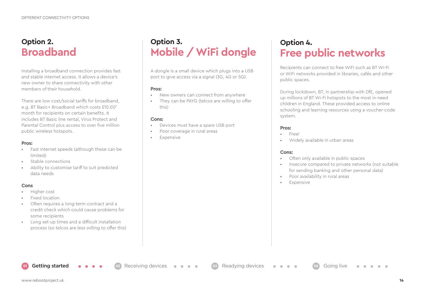# **Option 2. Broadband**

Installing a broadband connection provides fast and stable internet access. It allows a device's new owner to share connectivity with other members of their household.

There are low cost/social tariffs for broadband, e.g. BT Basic+ Broadband which costs £10.07/ month for recipients on certain benefits. It includes BT Basic line rental, Virus Protect and Parental Control plus access to over five million public wireless hotspots.

#### **Pros:**

- Fast internet speeds (although these can be limited)
- Stable connections
- Ability to customise tariff to suit predicted data needs

#### **Cons**

- Higher cost
- Fixed location
- Often requires a long-term contract and a credit check which could cause problems for some recipients
- Long set-up times and a difficult installation process (so telcos are less willing to offer this)

# **Option 3. Mobile / WiFi dongle**

A dongle is a small device which plugs into a USB port to give access via a signal (3G, 4G or 5G).

#### **Pros:**

- New owners can connect from anywhere
- They can be PAYG (telcos are willing to offer this)

#### **Cons:**

• Devices must have a spare USB port

**01** Getting started **02** Receiving devices **03** Readying devices **04** Going live

- Poor coverage in rural areas
- **Expensive**

# **Option 4. Free public networks**

Recipients can connect to free WiFi such as BT Wi-Fi or WiFi networks provided in libraries, cafés and other public spaces.

During lockdown, BT, in partnership with DfE, opened up millions of BT Wi-Fi hotspots to the most in-need children in England. These provided access to online schooling and learning resources using a voucher-code system.

#### **Pros:**

- Free!
- Widely available in urban areas

#### **Cons:**

- Often only available in public spaces
- Insecure compared to private networks (not suitable for sending banking and other personal data)
- Poor availability in rural areas
- **Expensive**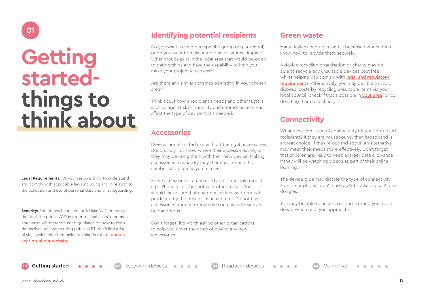# **Getting startedthings to think about**

**Legal Requirements:** It's your responsibility to understand and comply with applicable laws including and in relation to the collection and use of personal data and all safeguarding.

**Security:** Sometimes fraudsters build fake WiFi hotspots that look like public WiFi in order to steal users' credentials. Your users will therefore need guidance on how to keep themselves safe when using public WiFi. You'll find a list of sites which offer free online training in the **resources** [section of our website.](http://www.rebootproject.uk)

# **Identifying potential recipients 65 Green waster**

Do you want to help one specific group (e.g. a school) or do you want to make a regional or national impact? What groups exist in the local area that would be open to partnerships and have the capability to help you make your project a success?

Are there any similar schemes operating in your chosen area?

Think about how a recipient's needs and other factors, such as age, IT skills, mobility and internet access, can affect the type of device that's needed.

### **Accessories**

Devices are of limited use without the right accessories. Donors may not know where their accessories are, or they may be using them with their new device. Making accessories mandatory may therefore reduce the number of donations you receive.

Some accessories can be used across multiple models, e.g. iPhone leads, but not with other makes. You should make sure that chargers are licensed products produced by the device's manufacturer. Do not buy accessories from non-reputable sources as these can be dangerous.

Don't forget, it's worth asking other organisations to help you cover the costs of buying any new accessories.

Many devices end up in landfill because owners don't know how to recycle them securely.

A device recycling organisation or charity may be able to recycle any unsuitable devices cost free whilst helping you comply with **legal and regulatory** [requirements](http://itforcharities.co.uk/it-services/recycled-pcs/). Alternatively, you may be able to avoid disposal costs by recycling unsuitable items via your local council (check if that's possible in **your area**) or by donating them to a charity.

# **Connectivity**

What's the right type of connectivity for your proposed recipients? If they are housebound, then broadband is a great choice. If they're out and about, an alternative may meet their needs more effectively. Don't forget that children are likely to need a larger data allowance if they will be watching videos as part of their online learning.

The device type may dictate the type of connectivity. Most smartphones don't have a USB socket so can't use dongles.

You may be able to access support to keep your costs down. Who could you approach?

**01**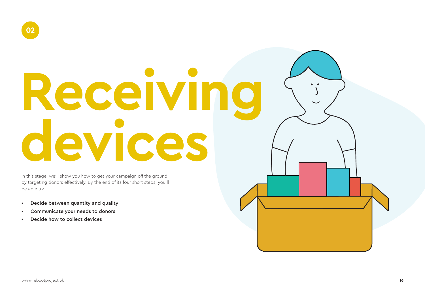# **Receiving devices**

In this stage, we'll show you how to get your campaign off the ground by targeting donors effectively. By the end of its four short steps, you'll be able to:

- Decide between quantity and quality
- Communicate your needs to donors
- Decide how to collect devices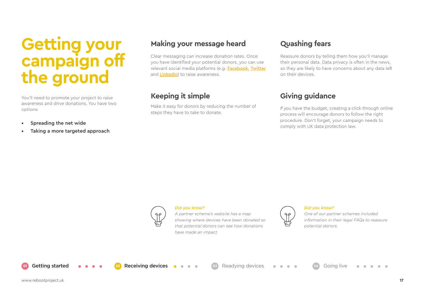# **Getting your campaign off the ground**

You'll need to promote your project to raise awareness and drive donations. You have two options:

- Spreading the net wide
- Taking a more targeted approach

# **Making your message heard**

Clear messaging can increase donation rates. Once you have identified your potential donors, you can use relevant social media platforms (e.g. [Facebook](http://www.facebook.com), [Twitter](http://www.twitter.com) and **[LinkedIn](http://www.linkedin.com)**) to raise awareness.

## **Keeping it simple**

Make it easy for donors by reducing the number of steps they have to take to donate.

# **Quashing fears**

Reassure donors by telling them how you'll manage their personal data. Data privacy is often in the news, so they are likely to have concerns about any data left on their devices.

# **Giving guidance**

If you have the budget, creating a click-through online process will encourage donors to follow the right procedure. Don't forget, your campaign needs to comply with UK data protection law.



#### *Did you know?*

*A partner scheme's website has a map showing where devices have been donated so that potential donors can see how donations have made an impact.*



#### *Did you know?*

*One of our partner schemes included information in their legal FAQs to reassure potential donors.*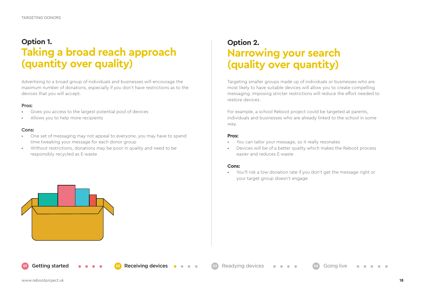# **Option 1. Taking a broad reach approach (quantity over quality)**

Advertising to a broad group of individuals and businesses will encourage the maximum number of donations, especially if you don't have restrictions as to the devices that you will accept.

#### **Pros:**

- Gives you access to the largest potential pool of devices
- Allows you to help more recipients

#### **Cons:**

- One set of messaging may not appeal to everyone, you may have to spend time tweaking your message for each donor group
- Without restrictions, donations may be poor in quality and need to be responsibly recycled as E-waste

# **Option 2. Narrowing your search (quality over quantity)**

Targeting smaller groups made up of individuals or businesses who are most likely to have suitable devices will allow you to create compelling messaging. Imposing stricter restrictions will reduce the effort needed to restore devices.

For example, a school Reboot project could be targeted at parents, individuals and businesses who are already linked to the school in some way.

#### **Pros:**

- You can tailor your message, so it really resonates
- Devices will be of a better quality which makes the Reboot process easier and reduces E-waste

#### **Cons:**

**02 02** Getting started **03 02 02 02 03** Readying devices **04** Going live

• You'll risk a low donation rate if you don't get the message right or your target group doesn't engage

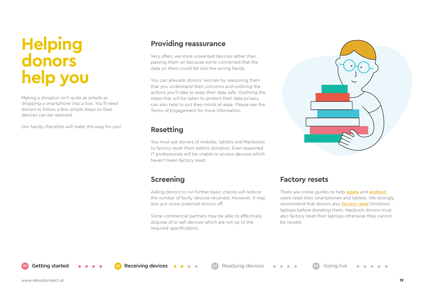# **Helping donors help you**

Making a donation isn't quite as simple as dropping a smartphone into a box. You'll need donors to follow a few simple steps so their devices can be restored.

Our handy checklists will make this easy for you!

### **Providing reassurance**

Very often, we store unwanted devices rather than passing them on because we're concerned that the data on them could fall into the wrong hands.

You can alleviate donors' worries by reassuring them that you understand their concerns and outlining the actions you'll take to keep their data safe. Outlining the steps that will be taken to protect their data privacy can also help to put their minds at ease. Please see the Terms of Engagement for more information.

### **Resetting**

You must ask donors of mobiles, tablets and Macbooks to factory reset them before donation. Even seasoned IT professionals will be unable to access devices which haven't been factory reset.

Asking donors to run further basic checks will reduce the number of faulty devices received. However, it may also put some potential donors off.

Some commercial partners may be able to effectively dispose of or sell devices which are not up to the required specifications.

**01** Getting started **02** Receiving devices **03** Readying devices **04** Going live

### **Screening Factory resets**

There are online guides to help **[Apple](https://support.apple.com/en-gb/HT201252)** and **Android** users reset their smartphones and tablets. We strongly recommend that donors also **[factory reset](https://store.hp.com/us/en/tech-takes/how-to-factory-reset-windows-laptop#!)** Windows laptops before donating them. Macbook donors must also factory reset their laptops otherwise they cannot be reused.

www.rebootproject.uk **19**

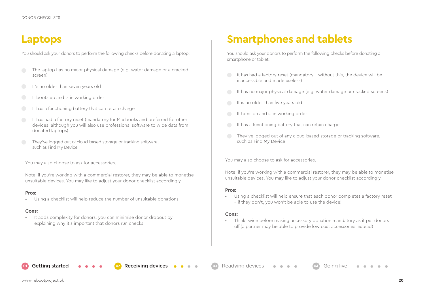You should ask your donors to perform the following checks before donating a laptop: You should ask your donors to perform the following checks before donating a

- The laptop has no major physical damage (e.g. water damage or a cracked screen)
- It's no older than seven years old
- It boots up and is in working order
- It has a functioning battery that can retain charge
- It has had a factory reset (mandatory for Macbooks and preferred for other devices, although you will also use professional software to wipe data from donated laptops)
- They've logged out of cloud-based storage or tracking software, such as Find My Device

You may also choose to ask for accessories.

Note: if you're working with a commercial restorer, they may be able to monetise unsuitable devices. You may like to adjust your donor checklist accordingly.

#### **Pros:**

• Using a checklist will help reduce the number of unsuitable donations

#### **Cons:**

• It adds complexity for donors, you can minimise donor dropout by explaining why it's important that donors run checks

# **Laptops Smartphones and tablets**

smartphone or tablet:

- It has had a factory reset (mandatory without this, the device will be inaccessible and made useless)
- It has no major physical damage (e.g. water damage or cracked screens)
- It is no older than five years old
- It turns on and is in working order
- It has a functioning battery that can retain charge
- They've logged out of any cloud-based storage or tracking software, such as Find My Device

You may also choose to ask for accessories.

Note: if you're working with a commercial restorer, they may be able to monetise unsuitable devices. You may like to adjust your donor checklist accordingly.

#### **Pros:**

• Using a checklist will help ensure that each donor completes a factory reset – if they don't, you won't be able to use the device!

#### **Cons:**

**021 Getting started <b>02 02 Receiving devices 6 03** Readying devices **04** Going live

• Think twice before making accessory donation mandatory as it put donors off (a partner may be able to provide low cost accessories instead)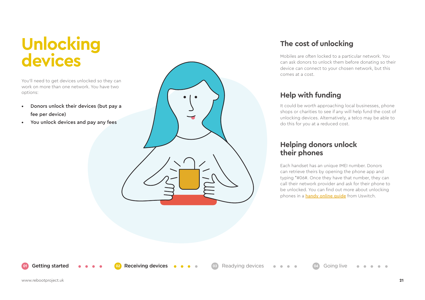# **Unlocking devices**

You'll need to get devices unlocked so they can work on more than one network. You have two options:

• Donors unlock their devices (but pay a fee per device)

**01** Getting started **02** Receiving devices **03** Readying devices **04** Going live

• You unlock devices and pay any fees

# **The cost of unlocking**

Mobiles are often locked to a particular network. You can ask donors to unlock them before donating so their device can connect to your chosen network, but this comes at a cost.

# **Help with funding**

It could be worth approaching local businesses, phone shops or charities to see if any will help fund the cost of unlocking devices. Alternatively, a telco may be able to do this for you at a reduced cost.

### **Helping donors unlock their phones**

Each handset has an unique IMEI number. Donors can retrieve theirs by opening the phone app and typing \*#06#. Once they have that number, they can call their network provider and ask for their phone to be unlocked. You can find out more about unlocking phones in a **handy online quide** from Uswitch.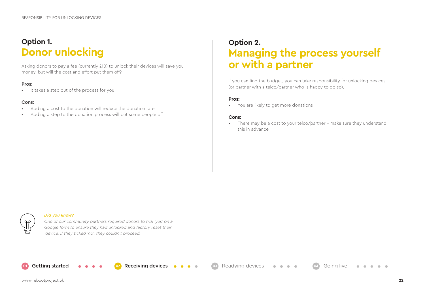# **Option 1. Donor unlocking**

Asking donors to pay a fee (currently £10) to unlock their devices will save you **or with a partner** 

#### **Pros:**

• It takes a step out of the process for you

#### **Cons:**

- Adding a cost to the donation will reduce the donation rate
- Adding a step to the donation process will put some people off

# **Option 2. Managing the process yourself**

If you can find the budget, you can take responsibility for unlocking devices (or partner with a telco/partner who is happy to do so).

#### **Pros:**

• You are likely to get more donations

#### **Cons:**

There may be a cost to your telco/partner - make sure they understand this in advance



#### *Did you know?*

*One of our community partners required donors to tick 'yes' on a Google form to ensure they had unlocked and factory reset their device. If they ticked 'no', they couldn't proceed.* 

**01** Getting started **02** Receiving devices **03** Readying devices **04** Going live

www.rebootproject.uk **22**

 $\sim$  $\sim$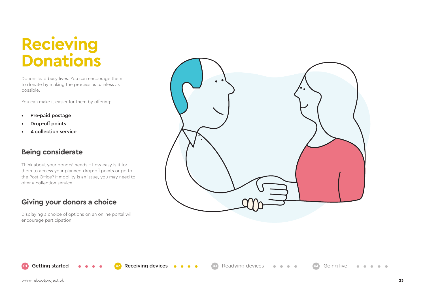# **Recieving Donations**

Donors lead busy lives. You can encourage them to donate by making the process as painless as possible.

You can make it easier for them by offering:

- Pre-paid postage
- Drop-off points
- A collection service

### **Being considerate**

Think about your donors' needs – how easy is it for them to access your planned drop-off points or go to the Post Office? If mobility is an issue, you may need to offer a collection service.

## **Giving your donors a choice**

Displaying a choice of options on an online portal will encourage participation.



**01** Getting started **0 3 02 example 12** Receiving devices **0 3 c** Readying devices **04** Going live

 $\bullet$   $\bullet$  $\bullet$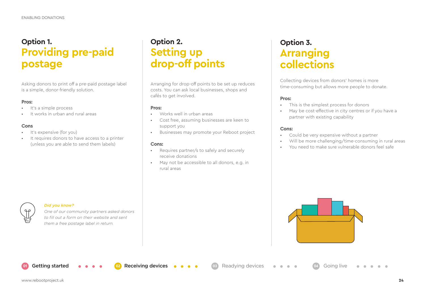# **Option 1. Providing pre-paid postage**

Asking donors to print off a pre-paid postage label is a simple, donor-friendly solution.

#### **Pros:**

- It's a simple process
- It works in urban and rural areas

#### **Cons**

- It's expensive (for you)
- It requires donors to have access to a printer (unless you are able to send them labels)

# **Option 2. Setting up drop-off points**

Arranging for drop-off points to be set up reduces costs. You can ask local businesses, shops and cafés to get involved.

#### **Pros:**

- Works well in urban areas
- Cost free, assuming businesses are keen to support you
- Businesses may promote your Reboot project

#### **Cons:**

- Requires partner/s to safely and securely receive donations
- May not be accessible to all donors, e.g. in rural areas

# **Option 3. Arranging collections**

Collecting devices from donors' homes is more time-consuming but allows more people to donate.

#### **Pros:**

- This is the simplest process for donors
- May be cost-effective in city centres or if you have a partner with existing capability

#### **Cons:**

- Could be very expensive without a partner
- Will be more challenging/time-consuming in rural areas
- You need to make sure vulnerable donors feel safe



#### *Did you know?*

*One of our community partners asked donors to fill out a form on their website and sent them a free postage label in return.*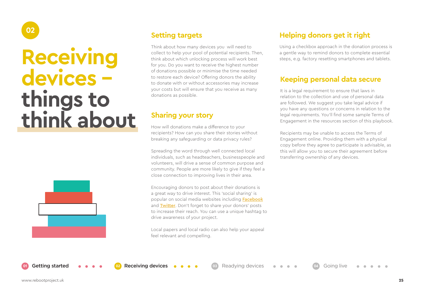# **Receiving devices things to think about**

**02**



# **Setting targets**

Think about how many devices you will need to collect to help your pool of potential recipients. Then, think about which unlocking process will work best for you. Do you want to receive the highest number of donations possible or minimise the time needed to restore each device? Offering donors the ability to donate with or without accessories may increase your costs but will ensure that you receive as many donations as possible.

### **Sharing your story**

How will donations make a difference to your recipients? How can you share their stories without breaking any safeguarding or data privacy rules?

Spreading the word through well connected local individuals, such as headteachers, businesspeople and volunteers, will drive a sense of common purpose and community. People are more likely to give if they feel a close connection to improving lives in their area.

Encouraging donors to post about their donations is a great way to drive interest. This 'social sharing' is popular on social media websites including **[Facebook](http://www.facebook.com)** and [Twitter](http://www.twitter.com). Don't forget to share your donors' posts to increase their reach. You can use a unique hashtag to drive awareness of your project.

Local papers and local radio can also help your appeal feel relevant and compelling.

# **Helping donors get it right**

Using a checkbox approach in the donation process is a gentle way to remind donors to complete essential steps, e.g. factory resetting smartphones and tablets.

### **Keeping personal data secure**

It is a legal requirement to ensure that laws in relation to the collection and use of personal data are followed. We suggest you take legal advice if you have any questions or concerns in relation to the legal requirements. You'll find some sample Terms of Engagement in the resources section of this playbook.

Recipients may be unable to access the Terms of Engagement online. Providing them with a physical copy before they agree to participate is advisable, as this will allow you to secure their agreement before transferring ownership of any devices.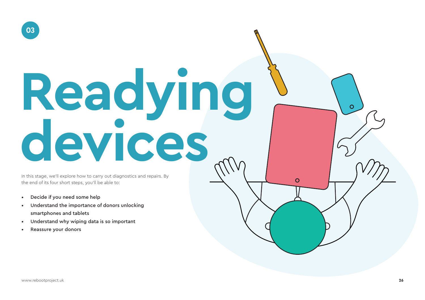# **Readying devices**

In this stage, we'll explore how to carry out diagnostics and repairs. By the end of its four short steps, you'll be able to:

- Decide if you need some help
- Understand the importance of donors unlocking smartphones and tablets
- Understand why wiping data is so important
- Reassure your donors

 $\overline{O}$ 

 $\overline{O}$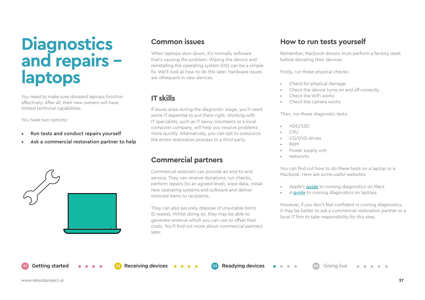# **Diagnostics and repairs laptops**

You need to make sure donated laptops function effectively. After all, their new owners will have limited technical capabilities.

You have two options:

- Run tests and conduct repairs yourself
- Ask a commercial restoration partner to help



When laptops slow down, it's normally software that's causing the problem. Wiping the device and reinstalling the operating system (OS) can be a simple fix. We'll look at how to do this later. Hardware issues are infrequent in new devices.

# **IT skills**

If issues arise during the diagnostic stage, you'll need some IT expertise to put them right. Working with IT specialists, such as IT savvy volunteers or a local computer company, will help you resolve problems more quickly. Alternatively, you can opt to outsource the entire restoration process to a third party.

## **Commercial partners**

**01** Getting started **02** Receiving devices **03** Readying devices **04** Going live

Commercial restorers can provide an end-to-end service. They can receive donations, run checks, perform repairs (to an agreed level), wipe data, install new operating systems and software and deliver restored items to recipients.

They can also securely dispose of unsuitable items (E-waste). Whilst doing so, they may be able to generate revenue which you can use to offset their costs. You'll find out more about commercial partners later.

### **Common issues How to run tests yourself**

Remember, Macbook donors must perform a factory reset before donating their devices.

Firstly, run these physical checks:

- Check for physical damage
- Check the device turns on and off correctly
- Check the WiFi works
- Check the camera works

Then, run these diagnostic tests:

- HDD/SSD
- CPU
- CD/DVD drives
- RAM
- Power supply unit
- Networks

You can find out how to do these tests on a laptop or a Macbook. Here are some useful websites:

- Apple's **quide** to running diagnostics on Macs
- A **quide** to running diagnostics on laptops

However, if you don't feel confident in running diagnostics, it may be better to ask a commercial restoration partner or a local IT firm to take responsibility for this step.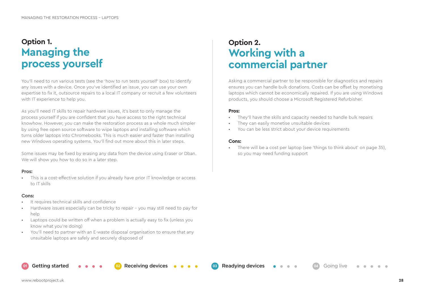# **Option 1. Managing the process yourself**

You'll need to run various tests (see the 'how to run tests yourself' box) to identify any issues with a device. Once you've identified an issue, you can use your own expertise to fix it, outsource repairs to a local IT company or recruit a few volunteers with IT experience to help you.

As you'll need IT skills to repair hardware issues, it's best to only manage the process yourself if you are confident that you have access to the right technical knowhow. However, you can make the restoration process as a whole much simpler by using free open source software to wipe laptops and installing software which turns older laptops into Chromebooks. This is much easier and faster than installing new Windows operating systems. You'll find out more about this in later steps.

Some issues may be fixed by erasing any data from the device using Eraser or Dban. We will show you how to do so in a later step.

#### **Pros:**

• This is a cost-effective solution if you already have prior IT knowledge or access to IT skills

#### **Cons:**

- It requires technical skills and confidence
- Hardware issues especially can be tricky to repair you may still need to pay for help
- Laptops could be written off when a problem is actually easy to fix (unless you know what you're doing)
- You'll need to partner with an E-waste disposal organisation to ensure that any unsuitable laptops are safely and securely disposed of

# **Option 2. Working with a commercial partner**

Asking a commercial partner to be responsible for diagnostics and repairs ensures you can handle bulk donations. Costs can be offset by monetising laptops which cannot be economically repaired. If you are using Windows products, you should choose a Microsoft Registered Refurbisher.

#### **Pros:**

- They'll have the skills and capacity needed to handle bulk repairs
- They can easily monetise unsuitable devices
- You can be less strict about your device requirements

#### **Cons:**

**01** Getting started **02** Receiving devices **03** Readying devices **04** Going live

There will be a cost per laptop (see 'things to think about' on page 35), so you may need funding support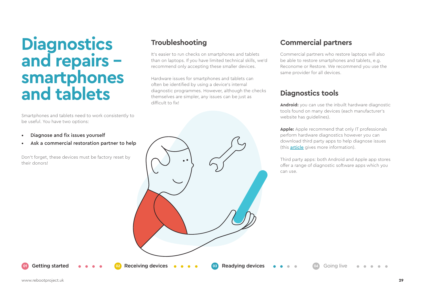# **Diagnostics and repairs smartphones and tablets**

Smartphones and tablets need to work consistently to be useful. You have two options:

- Diagnose and fix issues yourself
- Ask a commercial restoration partner to help

Don't forget, these devices must be factory reset by their donors!

# **Troubleshooting**

It's easier to run checks on smartphones and tablets than on laptops. If you have limited technical skills, we'd recommend only accepting these smaller devices.

Hardware issues for smartphones and tablets can often be identified by using a device's internal diagnostic programmes. However, although the checks themselves are simpler, any issues can be just as difficult to fix! **Android:** you can use the inbuilt hardware diagnostic

# **Commercial partners**

Commercial partners who restore laptops will also be able to restore smartphones and tablets, e.g. Reconome or Restore. We recommend you use the same provider for all devices.

# **Diagnostics tools**

tools found on many devices (each manufacturer's website has guidelines).

**Apple:** Apple recommend that only IT professionals perform hardware diagnostics however you can download third party apps to help diagnose issues (this [article](https://uk.pcmag.com/smartphones/120441/how-to-run-diagnostics-on-your-iphone-or-android-phone) gives more information).

Third party apps: both Android and Apple app stores offer a range of diagnostic software apps which you can use.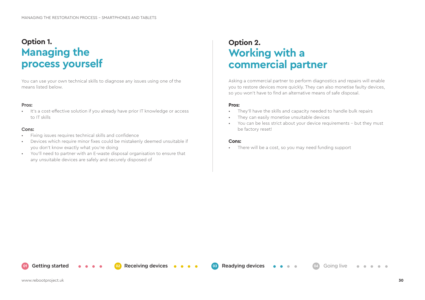# **Option 1. Managing the process yourself**

You can use your own technical skills to diagnose any issues using one of the means listed below.

#### **Pros:**

• It's a cost-effective solution if you already have prior IT knowledge or access to IT skills

#### **Cons:**

- Fixing issues requires technical skills and confidence
- Devices which require minor fixes could be mistakenly deemed unsuitable if you don't know exactly what you're doing
- You'll need to partner with an E-waste disposal organisation to ensure that any unsuitable devices are safely and securely disposed of

# **Option 2. Working with a commercial partner**

Asking a commercial partner to perform diagnostics and repairs will enable you to restore devices more quickly. They can also monetise faulty devices, so you won't have to find an alternative means of safe disposal.

#### **Pros:**

- They'll have the skills and capacity needed to handle bulk repairs
- They can easily monetise unsuitable devices
- You can be less strict about your device requirements but they must be factory reset!

#### **Cons:**

**01** Getting started **02** Receiving devices **03** Readying devices **04** Going live

• There will be a cost, so you may need funding support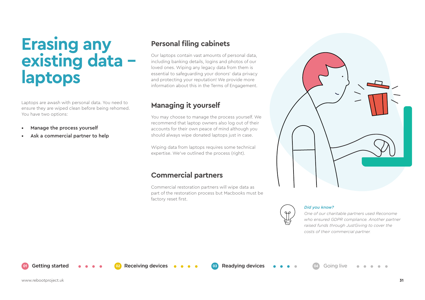# **Erasing any existing data laptops**

Laptops are awash with personal data. You need to ensure they are wiped clean before being rehomed. You have two options:

- Manage the process yourself
- Ask a commercial partner to help

# **Personal filing cabinets**

Our laptops contain vast amounts of personal data, including banking details, logins and photos of our loved ones. Wiping any legacy data from them is essential to safeguarding your donors' data privacy and protecting your reputation! We provide more information about this in the Terms of Engagement.

# **Managing it yourself**

You may choose to manage the process yourself. We recommend that laptop owners also log out of their accounts for their own peace of mind although you should always wipe donated laptops just in case.

Wiping data from laptops requires some technical expertise. We've outlined the process (right).

# **Commercial partners**

**01** Getting started **02** Receiving devices **03** Readying devices **04** Going live

Commercial restoration partners will wipe data as part of the restoration process but Macbooks must be factory reset first.





#### *Did you know?*

*One of our charitable partners used Reconome who ensured GDPR compliance. Another partner raised funds through JustGiving to cover the costs of their commercial partner.*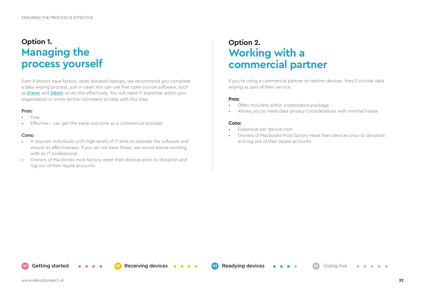# **Option 1. Managing the process yourself**

Even if donors have factory reset donated laptops, we recommend you complete a data wiping process, just in case! You can use free open source software, such as [Eraser](https://eraser.heidi.ie/) and [DBAN](https://dban.org/), to do this effectively. You will need IT expertise within your organisation or some techie volunteers to help with this step.

#### **Pros:**

- Free
- Effective can get the same outcome as a commercial provider

#### **Cons:**

- It requires individuals with high levels of IT skills to operate the software and ensure its effectiveness. If you do not have these, we would advise working with an IT professional
- Owners of Macbooks must factory reset their devices prior to donation and log out of their Apple accounts

# **Option 2. Working with a commercial partner**

If you're using a commercial partner to restore devices, they'll include data wiping as part of their service.

#### **Pros:**

- Often included within a restoration package
- Allows you to meet data privacy considerations with minimal hassle

#### **Cons:**

- Expensive per device cost
- Owners of Macbooks must factory reset their devices prior to donation and log out of their Apple accounts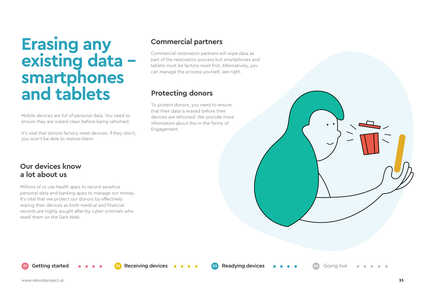# **Erasing any existing data smartphones and tablets**

Mobile devices are full of personal data. You need to ensure they are wiped clean before being rehomed.

It's vital that donors factory reset devices. If they don't, you won't be able to restore them.

## **Commercial partners**

Commercial restoration partners will wipe data as part of the restoration process but smartphones and tablets must be factory reset first. Alternatively, you can manage the process yourself, see right.

# **Protecting donors**

To protect donors, you need to ensure that their data is erased before their devices are rehomed. We provide more information about this in the Terms of Engagement.

### **Our devices know a lot about us**

Millions of us use health apps to record sensitive personal data and banking apps to manage our money. It's vital that we protect our donors by effectively wiping their devices as both medical and financial records are highly sought after by cyber criminals who resell them on the Dark Web.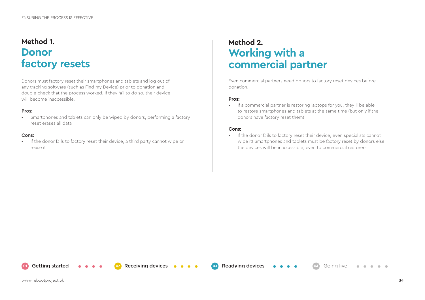# **Method 1. Donor factory resets**

Donors must factory reset their smartphones and tablets and log out of any tracking software (such as Find my Device) prior to donation and double-check that the process worked. If they fail to do so, their device will become inaccessible.

#### **Pros:**

• Smartphones and tablets can only be wiped by donors, performing a factory reset erases all data

#### **Cons:**

• If the donor fails to factory reset their device, a third party cannot wipe or reuse it

# **Method 2. Working with a commercial partner**

Even commercial partners need donors to factory reset devices before donation.

#### **Pros:**

• If a commercial partner is restoring laptops for you, they'll be able to restore smartphones and tablets at the same time (but only if the donors have factory reset them)

#### **Cons:**

**01** Getting started **02** Receiving devices **03** Readying devices **04** Going live

• If the donor fails to factory reset their device, even specialists cannot wipe it! Smartphones and tablets must be factory reset by donors else the devices will be inaccessible, even to commercial restorers

**COLL**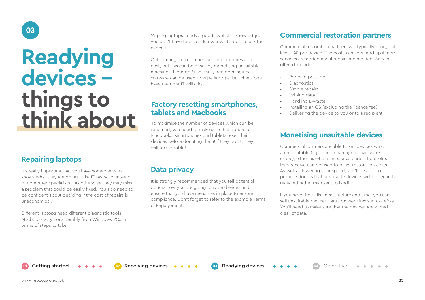# **Readying devices things to think about**

# **Repairing laptops**

**03**

It's really important that you have someone who knows what they are doing - like IT savvy volunteers or computer specialists - as otherwise they may miss a problem that could be easily fixed. You also need to be confident about deciding if the cost of repairs is uneconomical.

Different laptops need different diagnostic tools. Macbooks vary considerably from Windows PCs in terms of steps to take.

Wiping laptops needs a good level of IT knowledge. If you don't have technical knowhow, it's best to ask the experts.

Outsourcing to a commercial partner comes at a cost, but this can be offset by monetising unsuitable machines. If budget's an issue, free open source software can be used to wipe laptops, but check you have the right IT skills first.

### **Factory resetting smartphones, tablets and Macbooks**

To maximise the number of devices which can be rehomed, you need to make sure that donors of Macbooks, smartphones and tablets reset their devices before donating them! If they don't, they will be unusable!

### **Data privacy**

It is strongly recommended that you tell potential donors how you are going to wipe devices and ensure that you have measures in place to ensure compliance. Don't forget to refer to the example Terms of Engagement.

# **Commercial restoration partners**

Commercial restoration partners will typically charge at least £40 per device. The costs can soon add up if more services are added and if repairs are needed. Services offered include:

- Pre-paid postage
- Diagnostics
- Simple repairs
- Wiping data
- Handling E-waste
- Installing an OS (excluding the licence fee)
- Delivering the device to you or to a recipient

### **Monetising unsuitable devices**

Commercial partners are able to sell devices which aren't suitable (e.g. due to damage or hardware errors), either as whole units or as parts. The profits they receive can be used to offset restoration costs. As well as lowering your spend, you'll be able to promise donors that unsuitable devices will be securely recycled rather than sent to landfill.

If you have the skills, infrastructure and time, you can sell unsuitable devices/parts on websites such as eBay. You'll need to make sure that the devices are wiped clear of data.

**02 02** Getting started **03 02 02 example of COM 03 Readying devices 0 0 04** Going live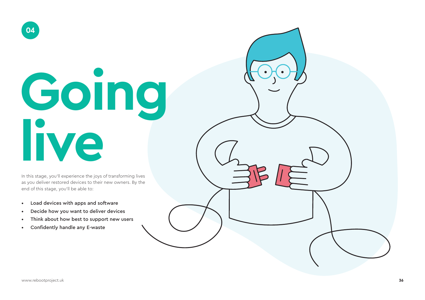# **Going live**

In this stage, you'll experience the joys of transforming lives as you deliver restored devices to their new owners. By the end of this stage, you'll be able to:

- Load devices with apps and software
- Decide how you want to deliver devices
- Think about how best to support new users
- Confidently handle any E-waste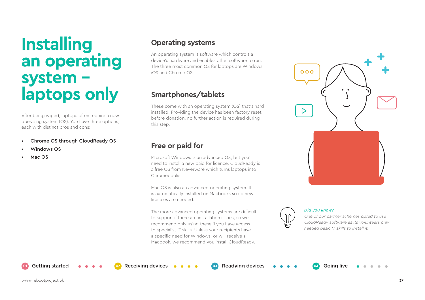# **Installing an operating system laptops only**

After being wiped, laptops often require a new operating system (OS). You have three options, each with distinct pros and cons:

- Chrome OS through CloudReady OS
- Windows OS
- Mac OS

### **Operating systems**

An operating system is software which controls a device's hardware and enables other software to run. The three most common OS for laptops are Windows, iOS and Chrome OS.

# **Smartphones/tablets**

These come with an operating system (OS) that's hard installed. Providing the device has been factory reset before donation, no further action is required during this step.

# **Free or paid for**

Microsoft Windows is an advanced OS, but you'll need to install a new paid for licence. CloudReady is a free OS from Neverware which turns laptops into Chromebooks.

Mac OS is also an advanced operating system. It is automatically installed on Macbooks so no new licences are needed.

The more advanced operating systems are difficult to support if there are installation issues, so we recommend only using these if you have access to specialist IT skills. Unless your recipients have a specific need for Windows, or will receive a Macbook, we recommend you install CloudReady.





#### *Did you know?*

*One of our partner schemes opted to use CloudReady software as its volunteers only needed basic IT skills to install it.*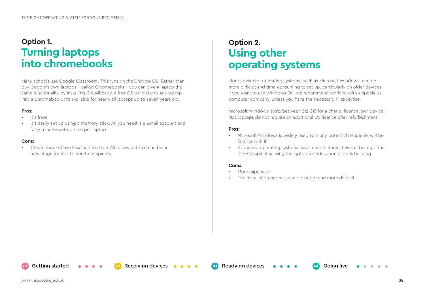# **Option 1. Turning laptops into chromebooks**

Many schools use Google Classroom. This runs on the Chrome OS. Rather than buy Google's own laptops – called Chromebooks – you can give a laptop the same functionality by installing CloudReady, a free OS which turns any laptop into a Chromebook. It's available for nearly all laptops up to seven years old.

#### **Pros:**

- It's free!
- It's easily set up using a memory stick. All you need is a Gmail account and forty minutes set-up time per laptop

#### **Cons:**

• Chromebooks have less features than Windows but that can be an advantage for less IT literate recipients

# **Option 2. Using other operating systems**

More advanced operating systems, such as Microsoft Windows, can be more difficult and time-consuming to set up, particularly on older devices. If you want to use Windows OS, we recommend working with a specialist computer company, unless you have the necessary IT expertise.

Microsoft Windows costs between £12-£15 for a charity licence, per device. Mac laptops do not require an additional OS licence after refurbishment.

#### **Pros:**

- Microsoft Windows is widely used so many potential recipients will be familiar with it
- Advanced operating systems have more features, this can be important if the recipient is using the laptop for education or skills building

#### **Cons:**

- More expensive
- The installation process can be longer and more difficult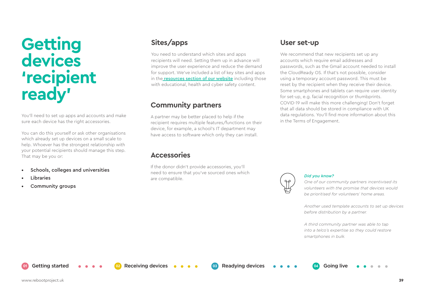# **Getting devices 'recipient ready'**

You'll need to set up apps and accounts and make sure each device has the right accessories.

You can do this yourself or ask other organisations which already set up devices on a small scale to help. Whoever has the strongest relationship with your potential recipients should manage this step. That may be you or:

- Schools, colleges and universities
- Libraries
- Community groups

You need to understand which sites and apps recipients will need. Setting them up in advance will improve the user experience and reduce the demand for support. We've included a list of key sites and apps in the [resources section of our website](http://www.rebootproject.uk) including those with educational, health and cyber safety content.

# **Community partners**

A partner may be better placed to help if the recipient requires multiple features/functions on their device, for example, a school's IT department may have access to software which only they can install.

### **Accessories**

If the donor didn't provide accessories, you'll need to ensure that you've sourced ones which are compatible. **Did you know?**  $\begin{pmatrix} 0 & 0 \\ 0 & 0 \end{pmatrix}$  **Did you know?** 

**01** Getting started **02** Receiving devices **03** Readying devices **04** Going live

### **Sites/apps User set-up**

We recommend that new recipients set up any accounts which require email addresses and passwords, such as the Gmail account needed to install the CloudReady OS. If that's not possible, consider using a temporary account password. This must be reset by the recipient when they receive their device. Some smartphones and tablets can require user identity for set-up, e.g. facial recognition or thumbprints. COVID-19 will make this more challenging! Don't forget that all data should be stored in compliance with UK data regulations. You'll find more information about this in the Terms of Engagement.



*One of our community partners incentivised its volunteers with the promise that devices would be prioritised for volunteers' home areas.*

*Another used template accounts to set up devices before distribution by a partner.* 

*A third community partner was able to tap into a telco's expertise so they could restore smartphones in bulk.*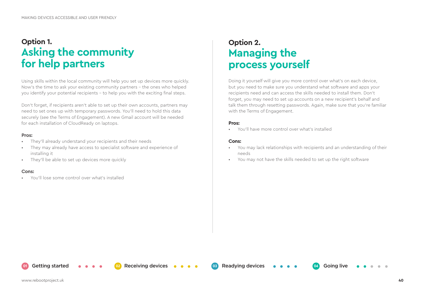# **Option 1. Asking the community for help partners**

Using skills within the local community will help you set up devices more quickly. Now's the time to ask your existing community partners - the ones who helped you identify your potential recipients - to help you with the exciting final steps.

Don't forget, if recipients aren't able to set up their own accounts, partners may need to set ones up with temporary passwords. You'll need to hold this data securely (see the Terms of Engagement). A new Gmail account will be needed for each installation of CloudReady on laptops.

#### **Pros:**

- They'll already understand your recipients and their needs
- They may already have access to specialist software and experience of installing it
- They'll be able to set up devices more quickly

#### **Cons:**

• You'll lose some control over what's installed

# **Option 2. Managing the process yourself**

Doing it yourself will give you more control over what's on each device, but you need to make sure you understand what software and apps your recipients need and can access the skills needed to install them. Don't forget, you may need to set up accounts on a new recipient's behalf and talk them through resetting passwords. Again, make sure that you're familiar with the Terms of Engagement.

#### **Pros:**

• You'll have more control over what's installed

#### **Cons:**

- You may lack relationships with recipients and an understanding of their needs
- You may not have the skills needed to set up the right software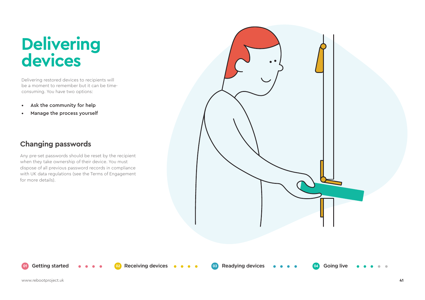# **Delivering devices**

Delivering restored devices to recipients will be a moment to remember but it can be timeconsuming. You have two options:

- Ask the community for help
- Manage the process yourself

# **Changing passwords**

Any pre-set passwords should be reset by the recipient when they take ownership of their device. You must dispose of all previous password records in compliance with UK data regulations (see the Terms of Engagement for more details).

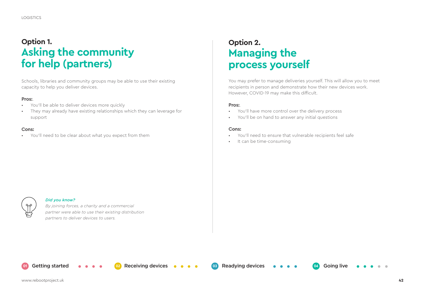# **Option 1. Asking the community for help (partners)**

Schools, libraries and community groups may be able to use their existing capacity to help you deliver devices.

#### **Pros:**.

- You'll be able to deliver devices more quickly
- They may already have existing relationships which they can leverage for support

#### **Cons:**

• You'll need to be clear about what you expect from them

# **Option 2. Managing the process yourself**

You may prefer to manage deliveries yourself. This will allow you to meet recipients in person and demonstrate how their new devices work. However, COVID-19 may make this difficult.

#### **Pros:**.

- You'll have more control over the delivery process
- You'll be on hand to answer any initial questions

#### **Cons:**

- You'll need to ensure that vulnerable recipients feel safe
- It can be time-consuming

#### *Did you know?*

*By joining forces, a charity and a commercial partner were able to use their existing distribution partners to deliver devices to users.*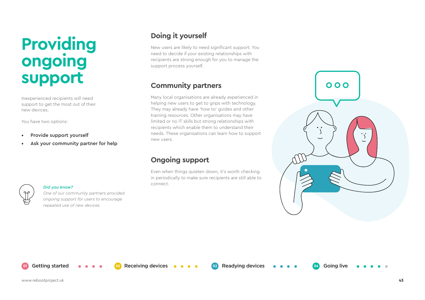# **Providing ongoing support**

Inexperienced recipients will need support to get the most out of their new devices.

You have two options:

- Provide support yourself
- Ask your community partner for help

# **Doing it yourself**

New users are likely to need significant support. You need to decide if your existing relationships with recipients are strong enough for you to manage the support process yourself.

### **Community partners**

Many local organisations are already experienced in helping new users to get to grips with technology. They may already have 'how to' guides and other training resources. Other organisations may have limited or no IT skills but strong relationships with recipients which enable them to understand their needs. These organisations can learn how to support new users.

# **Ongoing support**

Even when things quieten down, it's worth checking in periodically to make sure recipients are still able to connect.





#### *Did you know?*

*One of our community partners provided ongoing support for users to encourage repeated use of new devices.*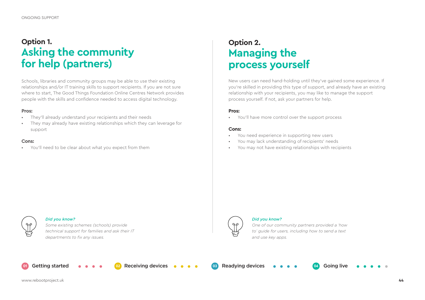# **Option 1. Asking the community for help (partners)**

Schools, libraries and community groups may be able to use their existing relationships and/or IT training skills to support recipients. If you are not sure where to start, The Good Things Foundation Online Centres Network provides people with the skills and confidence needed to access digital technology.

#### **Pros:**

- They'll already understand your recipients and their needs
- They may already have existing relationships which they can leverage for support

#### **Cons:**

• You'll need to be clear about what you expect from them

# **Option 2. Managing the process yourself**

New users can need hand-holding until they've gained some experience. If you're skilled in providing this type of support, and already have an existing relationship with your recipients, you may like to manage the support process yourself. If not, ask your partners for help.

#### **Pros:**

• You'll have more control over the support process

#### **Cons:**

- You need experience in supporting new users
- You may lack understanding of recipients' needs
- You may not have existing relationships with recipients



#### *Did you know?*

*Some existing schemes (schools) provide technical support for families and ask their IT departments to fix any issues.*



#### *Did you know?*

*One of our community partners provided a 'how to' guide for users, including how to send a text and use key apps.* 

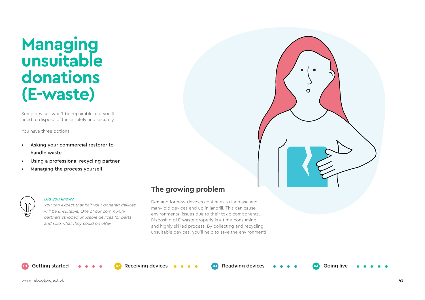# **Managing unsuitable donations (E-waste)**

Some devices won't be repairable and you'll need to dispose of these safely and securely.

You have three options:

- Asking your commercial restorer to handle waste
- Using a professional recycling partner
- Managing the process yourself



#### *Did you know?*

*You can expect that half your donated devices will be unsuitable. One of our community partners stripped unusable devices for parts and sold what they could on eBay.* 

## **The growing problem**

Demand for new devices continues to increase and many old devices end up in landfill. This can cause environmental issues due to their toxic components. Disposing of E-waste properly is a time-consuming and highly skilled process. By collecting and recycling unsuitable devices, you'll help to save the environment!

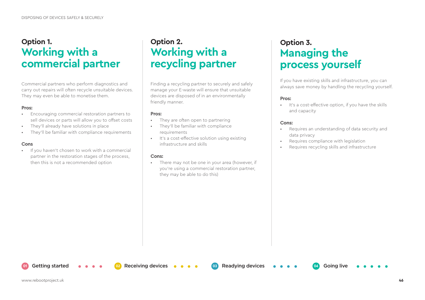# **Option 1. Working with a commercial partner**

Commercial partners who perform diagnostics and carry out repairs will often recycle unsuitable devices. They may even be able to monetise them.

#### **Pros:**

- Encouraging commercial restoration partners to sell devices or parts will allow you to offset costs
- They'll already have solutions in place
- They'll be familiar with compliance requirements

#### **Cons**

• If you haven't chosen to work with a commercial partner in the restoration stages of the process, then this is not a recommended option

# **Option 2. Working with a recycling partner**

Finding a recycling partner to securely and safely manage your E-waste will ensure that unsuitable devices are disposed of in an environmentally friendly manner.

#### **Pros:**

- They are often open to partnering
- They'll be familiar with compliance requirements

**01** Getting started **02** Receiving devices **03** Readying devices **04** Going live

• It's a cost-effective solution using existing infrastructure and skills

#### **Cons:**

• There may not be one in your area (however, if you're using a commercial restoration partner, they may be able to do this)

# **Option 3. Managing the process yourself**

If you have existing skills and infrastructure, you can always save money by handling the recycling yourself.

#### **Pros:**

• It's a cost-effective option, if you have the skills and capacity

#### **Cons:**

- Requires an understanding of data security and data privacy
- Requires compliance with legislation
- Requires recycling skills and infrastructure

www.rebootproject.uk **46**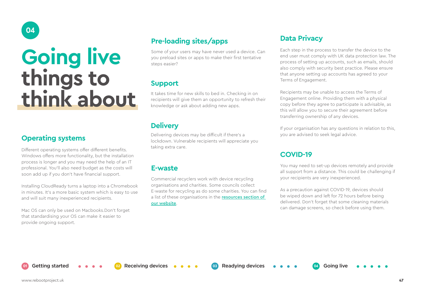# **Going live things to think about**

# **Operating systems**

**04**

Different operating systems offer different benefits. Windows offers more functionality, but the installation process is longer and you may need the help of an IT professional. You'll also need budget as the costs will soon add up if you don't have financial support.

Installing CloudReady turns a laptop into a Chromebook in minutes. It's a more basic system which is easy to use and will suit many inexperienced recipients.

Mac OS can only be used on Macbooks.Don't forget that standardising your OS can make it easier to provide ongoing support.

# **Pre-loading sites/apps**

Some of your users may have never used a device. Can you preload sites or apps to make their first tentative steps easier?

# **Support**

It takes time for new skills to bed in. Checking in on recipients will give them an opportunity to refresh their knowledge or ask about adding new apps.

# **Delivery**

Delivering devices may be difficult if there's a lockdown. Vulnerable recipients will appreciate you taking extra care.

### **E-waste**

Commercial recyclers work with device recycling organisations and charities. Some councils collect E-waste for recycling as do some charities. You can find a list of these organisations in the resources section of [our website](http://www.rebootproject.uk).

### **Data Privacy**

Each step in the process to transfer the device to the end user must comply with UK data protection law. The process of setting up accounts, such as emails, should also comply with security best practice. Please ensure that anyone setting up accounts has agreed to your Terms of Engagement.

Recipients may be unable to access the Terms of Engagement online. Providing them with a physical copy before they agree to participate is advisable, as this will allow you to secure their agreement before transferring ownership of any devices.

If your organisation has any questions in relation to this, you are advised to seek legal advice.

# **COVID-19**

You may need to set-up devices remotely and provide all support from a distance. This could be challenging if your recipients are very inexperienced.

As a precaution against COVID-19, devices should be wiped down and left for 72 hours before being delivered. Don't forget that some cleaning materials can damage screens, so check before using them.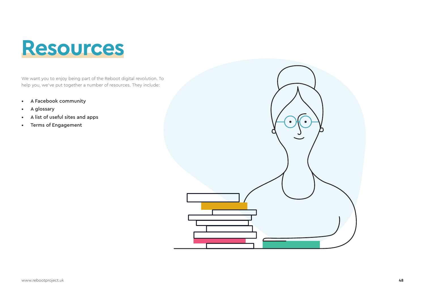# **Resources**

We want you to enjoy being part of the Reboot digital revolution. To help you, we've put together a number of resources. They include:

- A Facebook community
- A glossary
- A list of useful sites and apps
- Terms of Engagement

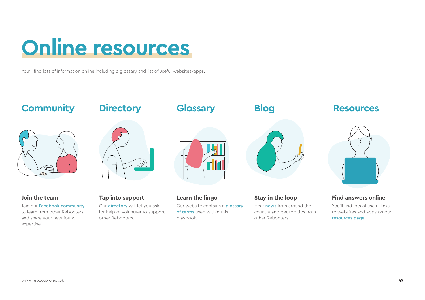# **Online resources**

You'll find lots of information online including a glossary and list of useful websites/apps.

other Rebooters.

### **Community Directory Glossary Blog Resources Blog**  $\cdot$  $\infty$ **Join the team Tap into support Learn the lingo Stay in the loop Find answers online**Join our [Facebook community](http://www.rebootproject.uk) Our [directory](http://www.rebootproject.uk) will let you ask Our website contains a **glossary** Hear [news](http://www.rebootproject.uk) from around the You'll find lots of useful links [of terms](http://www.rebootproject.uk) used within this country and get top tips from to learn from other Rebooters for help or volunteer to support to websites and apps on our

other Rebooters!

playbook.

and share your new-found

expertise!

[resources page](http://www.rebootproject.uk).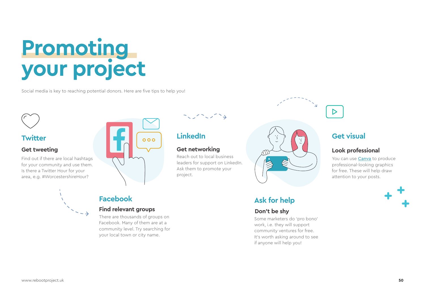# **Promoting your project**

Social media is key to reaching potential donors. Here are five tips to help you!



**Twitter**

# Find out if there are local hashtags for your community and use them. Is there a Twitter Hour for your





Reach out to local business leaders for support on LinkedIn. Ask them to promote your project.



# **Ask for help**

#### **Don't be shy**

Some marketers do 'pro bono' work, i.e. they will support community ventures for free. It's worth asking around to see if anyone will help you!



#### **Look professional**

You can use **[Canva](https://www.canva.com/)** to produce professional-looking graphics for free. These will help draw attention to your posts.





area, e.g. #WorcestershireHour?

# **Facebook**

#### **Find relevant groups**

There are thousands of groups on Facebook. Many of them are at a community level. Try searching for your local town or city name.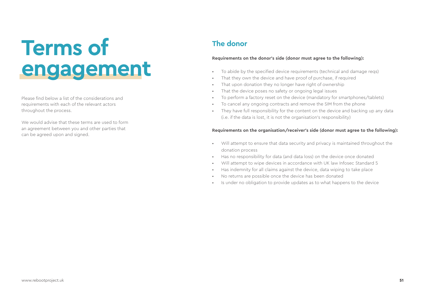# **Terms of engagement**

Please find below a list of the considerations and requirements with each of the relevant actors throughout the process.

We would advise that these terms are used to form an agreement between you and other parties that can be agreed upon and signed.

# **The donor**

#### **Requirements on the donor's side (donor must agree to the following):**

- To abide by the specified device requirements (technical and damage reqs)
- That they own the device and have proof of purchase, if required
- That upon donation they no longer have right of ownership
- That the device poses no safety or ongoing legal issues
- To perform a factory reset on the device (mandatory for smartphones/tablets)
- To cancel any ongoing contracts and remove the SIM from the phone
- They have full responsibility for the content on the device and backing up any data (i.e. if the data is lost, it is not the organisation's responsibility)

#### **Requirements on the organisation/receiver's side (donor must agree to the following):**

- Will attempt to ensure that data security and privacy is maintained throughout the donation process
- Has no responsibility for data (and data loss) on the device once donated
- Will attempt to wipe devices in accordance with UK law Infosec Standard 5
- Has indemnity for all claims against the device, data wiping to take place
- No returns are possible once the device has been donated
- Is under no obligation to provide updates as to what happens to the device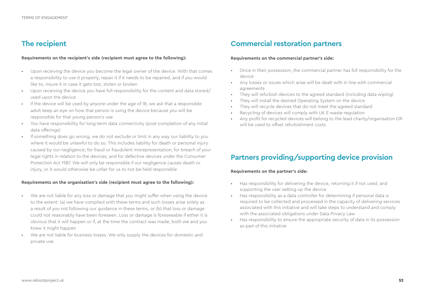## **The recipient**

#### **Requirements on the recipient's side (recipient must agree to the following):**

- Upon receiving the device you become the legal owner of the device. With that comes a responsibility to use it properly, repair it if it needs to be repaired, and if you would like to, insure it in case it gets lost, stolen or broken
- Upon receiving the device you have full responsibility for the content and data stored/ used upon the device
- If the device will be used by anyone under the age of 18, we ask that a responsible adult keep an eye on how that person is using the device because you will be responsible for that young person's use
- You have responsibility for long-term data connectivity (post-completion of any initial data offerings)
- If something does go wrong, we do not exclude or limit in any way our liability to you where it would be unlawful to do so. This includes liability for death or personal injury caused by our negligence; for fraud or fraudulent misrepresentation; for breach of your legal rights in relation to the devices; and for defective devices under the Consumer Protection Act 1987. We will only be responsible if our negligence causes death or injury, or it would otherwise be unfair for us to not be held responsible

#### **Requirements on the organisation's side (recipient must agree to the following):**

- We are not liable for any loss or damage that you might suffer when using the device to the extent: (a) we have complied with these terms and such losses arise solely as a result of you not following our guidance in these terms, or (b) that loss or damage could not reasonably have been foreseen. Loss or damage is foreseeable if either it is obvious that it will happen or if, at the time the contract was made, both we and you knew it might happen
- We are not liable for business losses. We only supply the devices for domestic and private use.

### **Commercial restoration partners**

#### **Requirements on the commercial partner's side:**

- Once in their possession, the commercial partner has full responsibility for the device
- Any losses or issues which arise will be dealt with in line with commercial agreements
- They will refurbish devices to the agreed standard (including data wiping)
- They will install the desired Operating System on the device
- They will recycle devices that do not meet the agreed standard
- Recycling of devices will comply with UK E-waste regulation
- Any profit for recycled devices will belong to the lead charity/organisation OR will be used to offset refurbishment costs

## **Partners providing/supporting device provision**

#### **Requirements on the partner's side:**

- Has responsibility for delivering the device, returning it if not used, and supporting the user setting up the device
- Has responsibility as a data controller for determining if personal data is required to be collected and processed in the capacity of delivering services associated with this initiative and will take steps to understand and comply with the associated obligations under Data Privacy Law
- Has responsibility to ensure the appropriate security of data in its possession as part of this initiative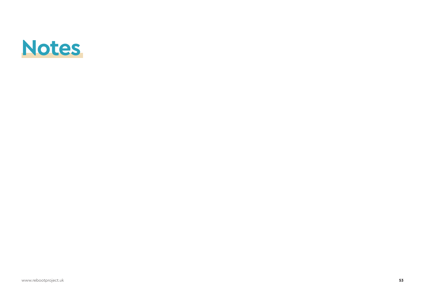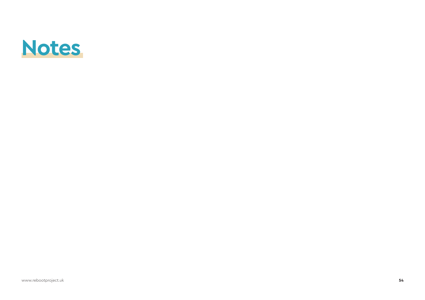